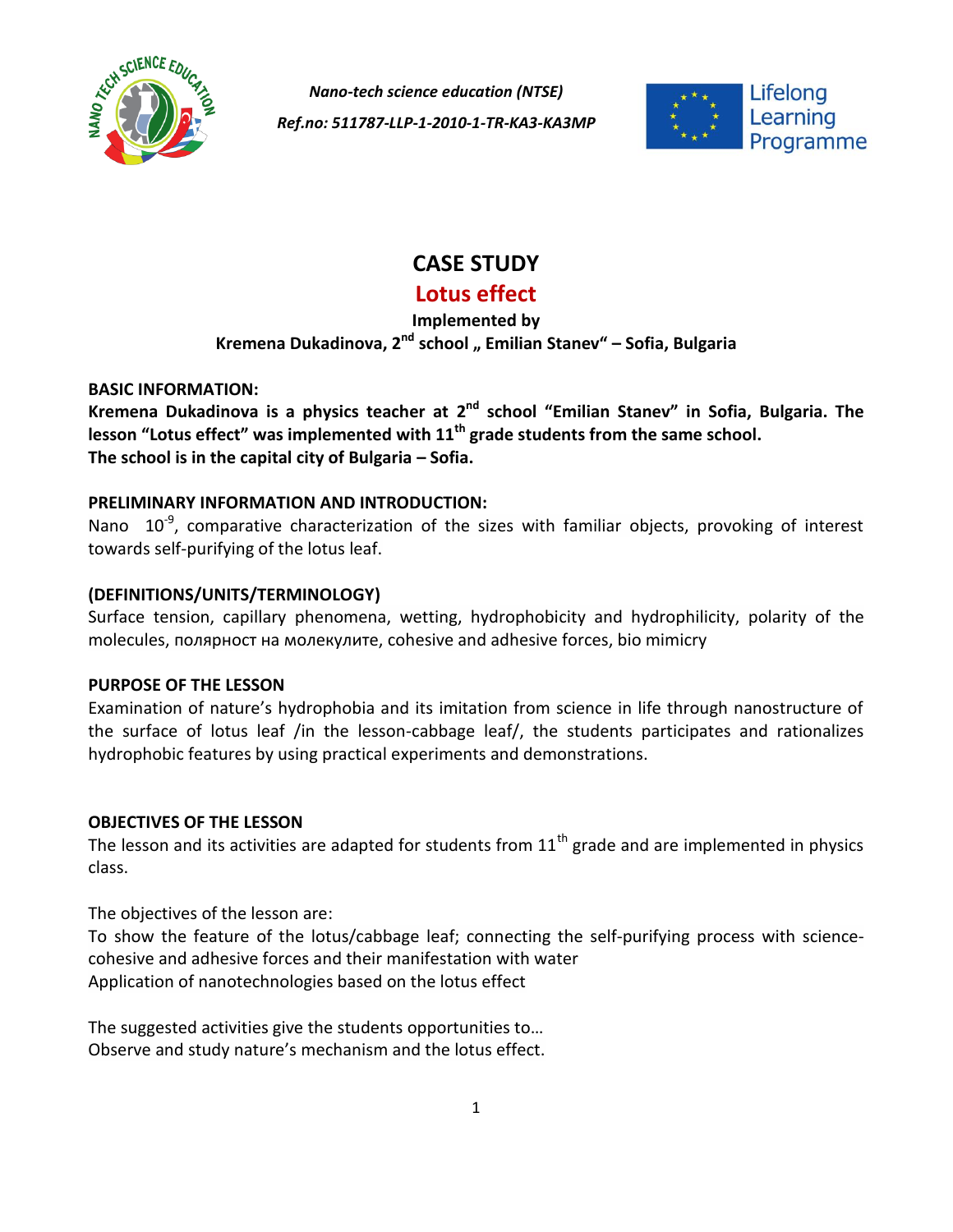

*Nano-tech science education (NTSE) Ref.no: 511787-LLP-1-2010-1-TR-KA3-KA3MP*



# **CASE STUDY**

## **Lotus effect**

**Implemented by Kremena Dukadinova, 2 nd school " Emilian Stanev" – Sofia, Bulgaria**

## **BASIC INFORMATION:**

Kremena Dukadinova is a physics teacher at 2<sup>nd</sup> school "Emilian Stanev" in Sofia, Bulgaria. The **lesson "Lotus effect" was implemented with 11th grade students from the same school. The school is in the capital city of Bulgaria – Sofia.**

## **PRELIMINARY INFORMATION AND INTRODUCTION:**

Nano 10<sup>-9</sup>, comparative characterization of the sizes with familiar objects, provoking of interest towards self-purifying of the lotus leaf.

## **(DEFINITIONS/UNITS/TERMINOLOGY)**

Surface tension, capillary phenomena, wetting, hydrophobicity and hydrophilicity, polarity of the molecules, полярност на молекулите, cohesive and adhesive forces, bio mimicry

### **PURPOSE OF THE LESSON**

Examination of nature's hydrophobia and its imitation from science in life through nanostructure of the surface of lotus leaf /in the lesson-cabbage leaf/, the students participates and rationalizes hydrophobic features by using practical experiments and demonstrations.

### **OBJECTIVES OF THE LESSON**

The lesson and its activities are adapted for students from  $11<sup>th</sup>$  grade and are implemented in physics class.

The objectives of the lesson are:

To show the feature of the lotus/cabbage leaf; connecting the self-purifying process with sciencecohesive and adhesive forces and their manifestation with water Application of nanotechnologies based on the lotus effect

The suggested activities give the students opportunities to… Observe and study nature's mechanism and the lotus effect.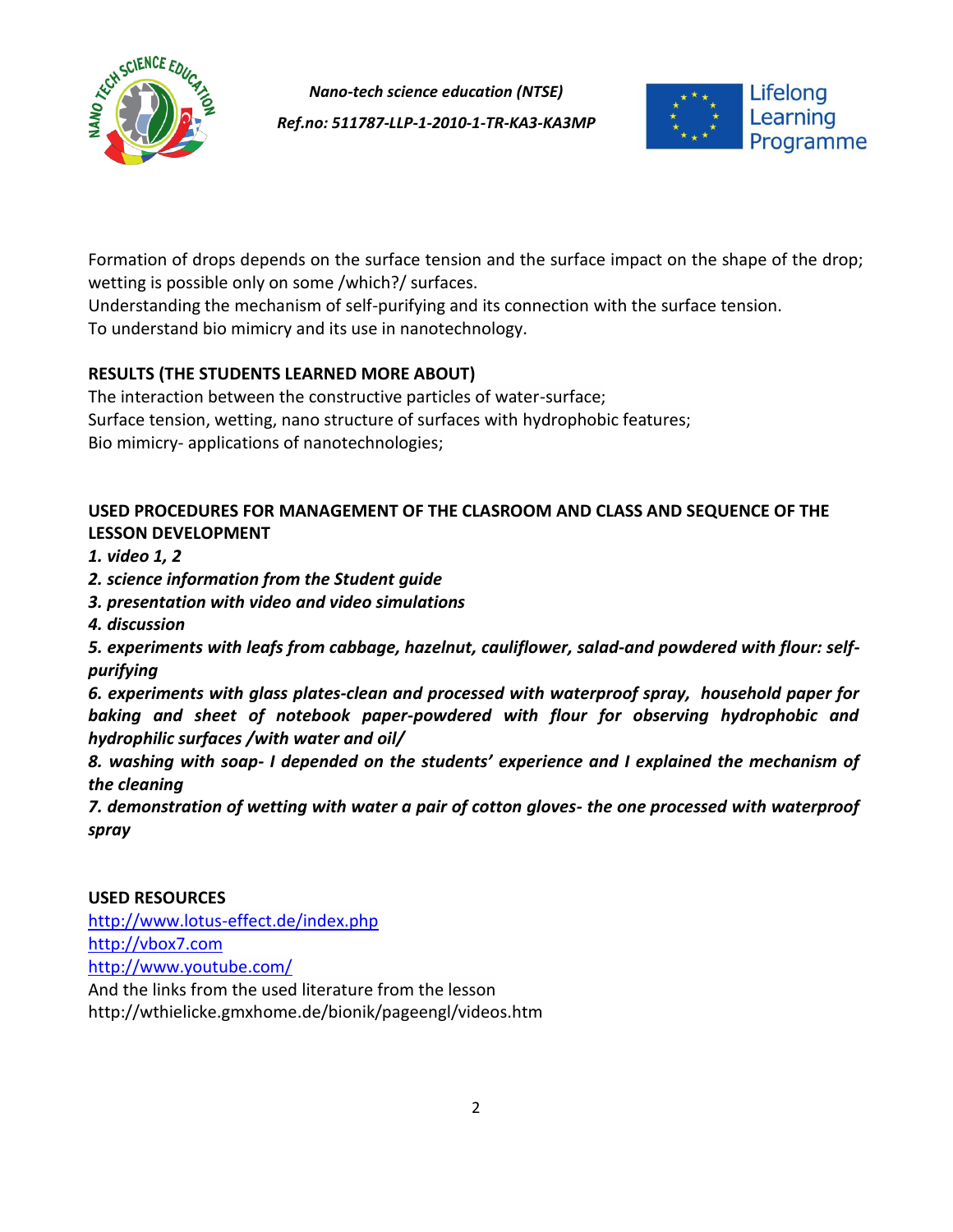

*Nano-tech science education (NTSE)*

*Ref.no: 511787-LLP-1-2010-1-TR-KA3-KA3MP*



Formation of drops depends on the surface tension and the surface impact on the shape of the drop; wetting is possible only on some /which?/ surfaces.

Understanding the mechanism of self-purifying and its connection with the surface tension. To understand bio mimicry and its use in nanotechnology.

## **RESULTS (THE STUDENTS LEARNED MORE ABOUT)**

The interaction between the constructive particles of water-surface; Surface tension, wetting, nano structure of surfaces with hydrophobic features; Bio mimicry- applications of nanotechnologies;

## **USED PROCEDURES FOR MANAGEMENT OF THE CLASROOM AND CLASS AND SEQUENCE OF THE LESSON DEVELOPMENT**

*1. video 1, 2*

- *2. science information from the Student guide*
- *3. presentation with video and video simulations*
- *4. discussion*

*5. experiments with leafs from cabbage, hazelnut, cauliflower, salad-and powdered with flour: selfpurifying* 

*6. experiments with glass plates-clean and processed with waterproof spray, household paper for*  baking and sheet of notebook paper-powdered with flour for observing hydrophobic and *hydrophilic surfaces /with water and oil/* 

*8. washing with soap- I depended on the students' experience and I explained the mechanism of the cleaning* 

*7. demonstration of wetting with water a pair of cotton gloves- the one processed with waterproof spray* 

## **USED RESOURCES**

<http://www.lotus-effect.de/index.php> [http://vbox7.com](http://vbox7.com/)

<http://www.youtube.com/>

And the links from the used literature from the lesson

http://wthielicke.gmxhome.de/bionik/pageengl/videos.htm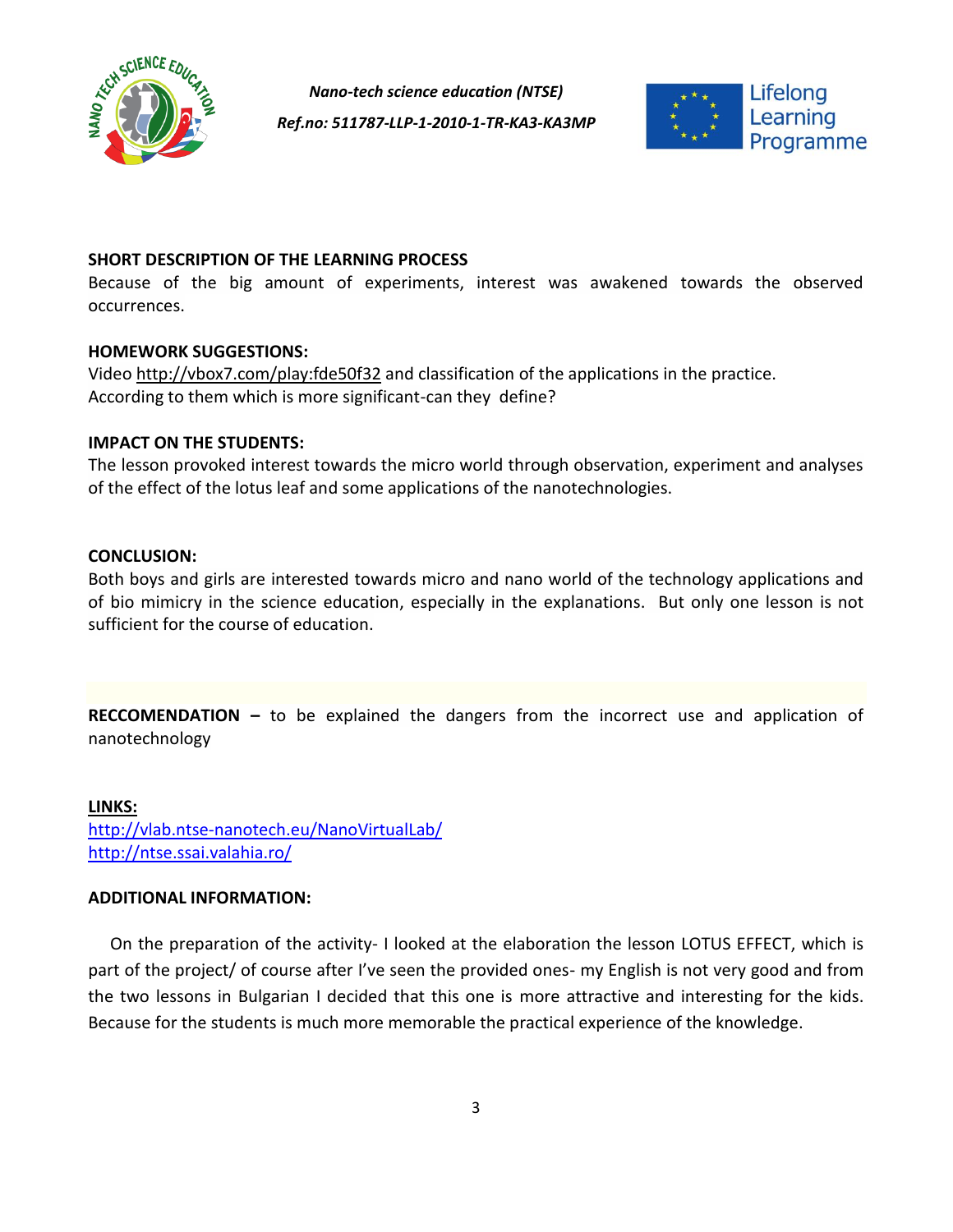

*Nano-tech science education (NTSE)*

*Ref.no: 511787-LLP-1-2010-1-TR-KA3-KA3MP*



#### **SHORT DESCRIPTION OF THE LEARNING PROCESS**

Because of the big amount of experiments, interest was awakened towards the observed occurrences.

#### **HOMEWORK SUGGESTIONS:**

Video <http://vbox7.com/play:fde50f32> and classification of the applications in the practice. According to them which is more significant-can they define?

#### **IMPACT ON THE STUDENTS:**

The lesson provoked interest towards the micro world through observation, experiment and analyses of the effect of the lotus leaf and some applications of the nanotechnologies.

#### **CONCLUSION:**

Both boys and girls are interested towards micro and nano world of the technology applications and of bio mimicry in the science education, especially in the explanations. But only one lesson is not sufficient for the course of education.

**RECCOMENDATION –** to be explained the dangers from the incorrect use and application of nanotechnology

**LINKS:** <http://vlab.ntse-nanotech.eu/NanoVirtualLab/> <http://ntse.ssai.valahia.ro/>

### **ADDITIONAL INFORMATION:**

On the preparation of the activity- I looked at the elaboration the lesson LOTUS EFFECT, which is part of the project/ of course after I've seen the provided ones- my English is not very good and from the two lessons in Bulgarian I decided that this one is more attractive and interesting for the kids. Because for the students is much more memorable the practical experience of the knowledge.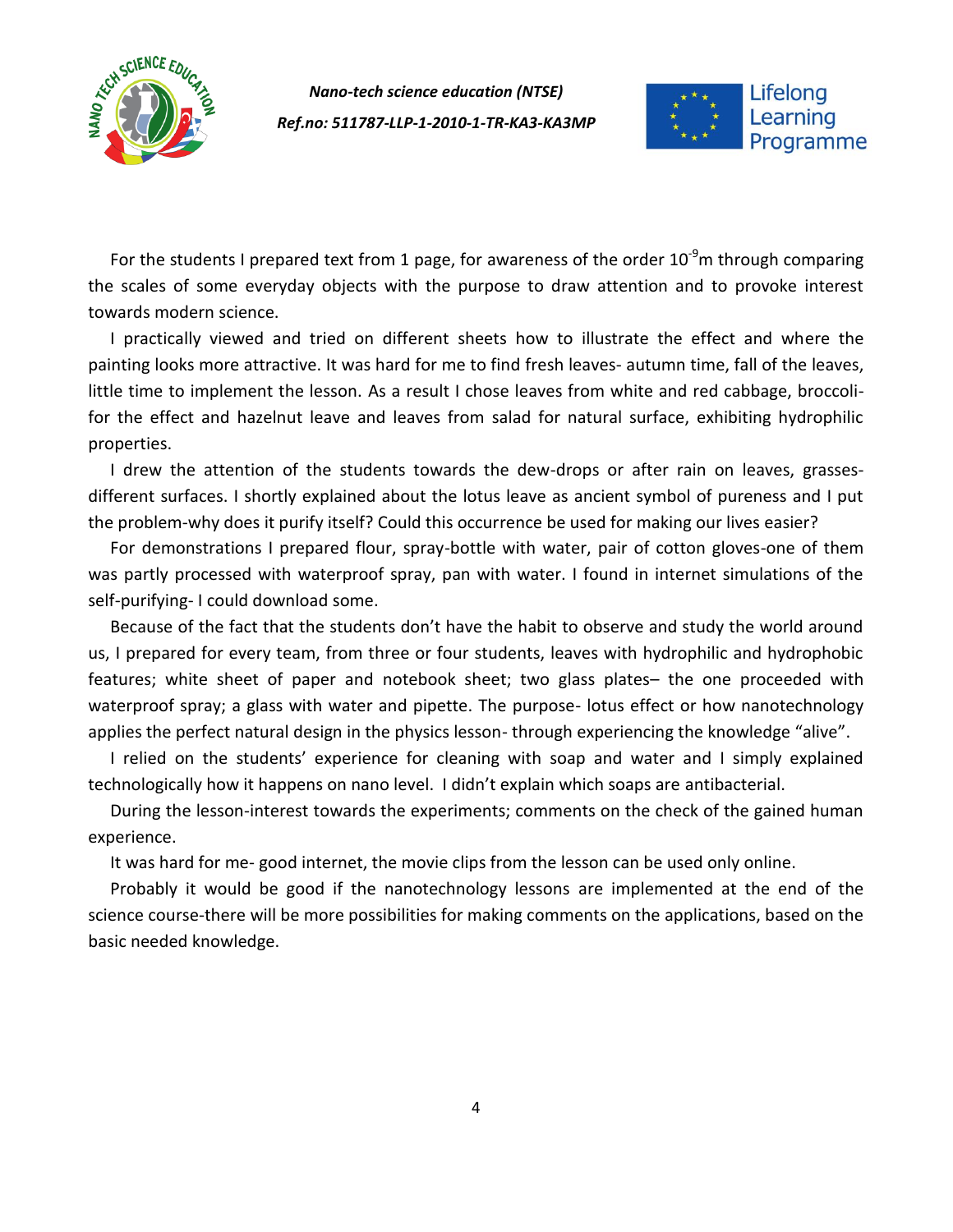

*Nano-tech science education (NTSE) Ref.no: 511787-LLP-1-2010-1-TR-KA3-KA3MP*



For the students I prepared text from 1 page, for awareness of the order  $10^{-9}$ m through comparing the scales of some everyday objects with the purpose to draw attention and to provoke interest towards modern science.

I practically viewed and tried on different sheets how to illustrate the effect and where the painting looks more attractive. It was hard for me to find fresh leaves- autumn time, fall of the leaves, little time to implement the lesson. As a result I chose leaves from white and red cabbage, broccolifor the effect and hazelnut leave and leaves from salad for natural surface, exhibiting hydrophilic properties.

I drew the attention of the students towards the dew-drops or after rain on leaves, grassesdifferent surfaces. I shortly explained about the lotus leave as ancient symbol of pureness and I put the problem-why does it purify itself? Could this occurrence be used for making our lives easier?

For demonstrations I prepared flour, spray-bottle with water, pair of cotton gloves-one of them was partly processed with waterproof spray, pan with water. I found in internet simulations of the self-purifying- I could download some.

Because of the fact that the students don't have the habit to observe and study the world around us, I prepared for every team, from three or four students, leaves with hydrophilic and hydrophobic features; white sheet of paper and notebook sheet; two glass plates– the one proceeded with waterproof spray; a glass with water and pipette. The purpose- lotus effect or how nanotechnology applies the perfect natural design in the physics lesson- through experiencing the knowledge "alive".

I relied on the students' experience for cleaning with soap and water and I simply explained technologically how it happens on nano level. I didn't explain which soaps are antibacterial.

During the lesson-interest towards the experiments; comments on the check of the gained human experience.

It was hard for me- good internet, the movie clips from the lesson can be used only online.

Probably it would be good if the nanotechnology lessons are implemented at the end of the science course-there will be more possibilities for making comments on the applications, based on the basic needed knowledge.